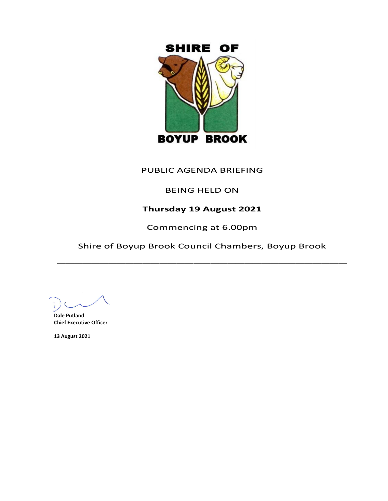

# PUBLIC AGENDA BRIEFING

# BEING HELD ON

# **Thursday 19 August 2021**

Commencing at 6.00pm

Shire of Boyup Brook Council Chambers, Boyup Brook  $\overline{\phantom{a}}$ 

**Dale Putland Chief Executive Officer**

**13 August 2021**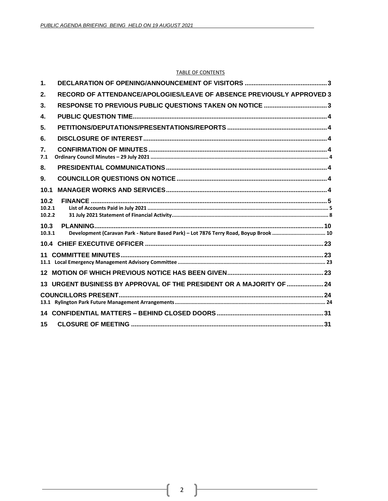#### **TABLE OF CONTENTS**

| RECORD OF ATTENDANCE/APOLOGIES/LEAVE OF ABSENCE PREVIOUSLY APPROVED 3                 |
|---------------------------------------------------------------------------------------|
| RESPONSE TO PREVIOUS PUBLIC QUESTIONS TAKEN ON NOTICE 3                               |
|                                                                                       |
|                                                                                       |
|                                                                                       |
|                                                                                       |
|                                                                                       |
|                                                                                       |
|                                                                                       |
|                                                                                       |
| Development (Caravan Park - Nature Based Park) - Lot 7876 Terry Road, Boyup Brook  10 |
|                                                                                       |
|                                                                                       |
|                                                                                       |
| 13 URGENT BUSINESS BY APPROVAL OF THE PRESIDENT OR A MAJORITY OF  24                  |
|                                                                                       |
|                                                                                       |
|                                                                                       |
|                                                                                       |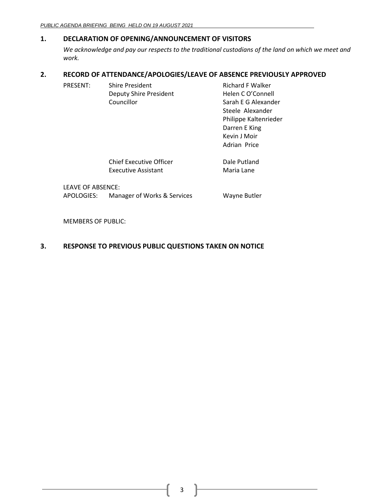## <span id="page-2-0"></span>**1. DECLARATION OF OPENING/ANNOUNCEMENT OF VISITORS**

*We acknowledge and pay our respects to the traditional custodians of the land on which we meet and work.*

## <span id="page-2-1"></span>**2. RECORD OF ATTENDANCE/APOLOGIES/LEAVE OF ABSENCE PREVIOUSLY APPROVED**

| PRESENT: | <b>Shire President</b>        | <b>Richard F Walker</b> |
|----------|-------------------------------|-------------------------|
|          | <b>Deputy Shire President</b> | Helen C O'Connell       |
|          | Councillor                    | Sarah E G Alexander     |
|          |                               | Steele Alexander        |
|          |                               | Philippe Kaltenrieder   |
|          |                               | Darren E King           |

Chief Executive Officer **Dale Putland** Executive Assistant Maria Lane

Kevin J Moir Adrian Price

LEAVE OF ABSENCE: APOLOGIES: Manager of Works & Services Wayne Butler

MEMBERS OF PUBLIC:

## <span id="page-2-2"></span>**3. RESPONSE TO PREVIOUS PUBLIC QUESTIONS TAKEN ON NOTICE**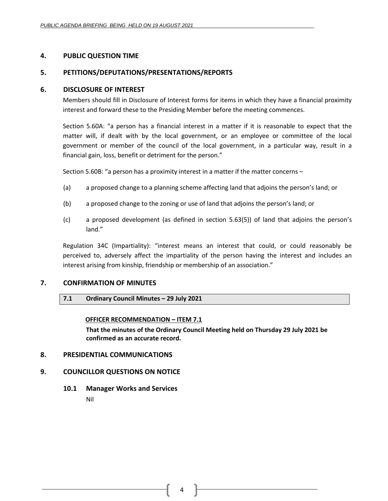### <span id="page-3-0"></span>**4. PUBLIC QUESTION TIME**

### <span id="page-3-1"></span>**5. PETITIONS/DEPUTATIONS/PRESENTATIONS/REPORTS**

### <span id="page-3-2"></span>**6. DISCLOSURE OF INTEREST**

Members should fill in Disclosure of Interest forms for items in which they have a financial proximity interest and forward these to the Presiding Member before the meeting commences.

Section 5.60A: "a person has a financial interest in a matter if it is reasonable to expect that the matter will, if dealt with by the local government, or an employee or committee of the local government or member of the council of the local government, in a particular way, result in a financial gain, loss, benefit or detriment for the person."

Section 5.60B: "a person has a proximity interest in a matter if the matter concerns –

- (a) a proposed change to a planning scheme affecting land that adjoins the person's land; or
- (b) a proposed change to the zoning or use of land that adjoins the person's land; or
- (c) a proposed development (as defined in section 5.63(5)) of land that adjoins the person's land."

Regulation 34C (Impartiality): "interest means an interest that could, or could reasonably be perceived to, adversely affect the impartiality of the person having the interest and includes an interest arising from kinship, friendship or membership of an association."

### <span id="page-3-4"></span><span id="page-3-3"></span>**7. CONFIRMATION OF MINUTES**

### **7.1 Ordinary Council Minutes – 29 July 2021**

### **OFFICER RECOMMENDATION – ITEM 7.1**

**That the minutes of the Ordinary Council Meeting held on Thursday 29 July 2021 be confirmed as an accurate record.**

### <span id="page-3-5"></span>**8. PRESIDENTIAL COMMUNICATIONS**

### <span id="page-3-6"></span>**9. COUNCILLOR QUESTIONS ON NOTICE**

<span id="page-3-7"></span>**10.1 Manager Works and Services**

Nil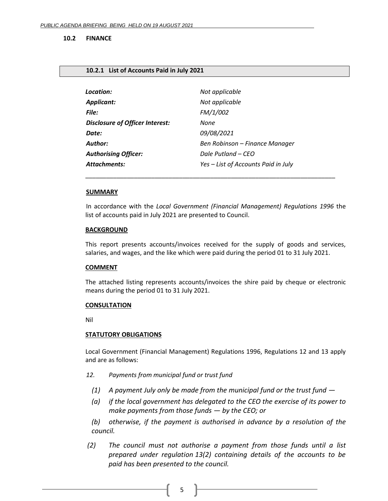#### <span id="page-4-0"></span>**10.2 FINANCE**

#### <span id="page-4-1"></span>**10.2.1 List of Accounts Paid in July 2021**

| Location:                              | Not applicable                      |
|----------------------------------------|-------------------------------------|
| <b>Applicant:</b>                      | Not applicable                      |
| File:                                  | FM/1/002                            |
| <b>Disclosure of Officer Interest:</b> | None                                |
| Date:                                  | 09/08/2021                          |
| <b>Author:</b>                         | Ben Robinson – Finance Manager      |
| <b>Authorising Officer:</b>            | Dale Putland – CEO                  |
| <b>Attachments:</b>                    | Yes - List of Accounts Paid in July |

#### **SUMMARY**

In accordance with the *Local Government (Financial Management) Regulations 1996* the list of accounts paid in July 2021 are presented to Council.

\_\_\_\_\_\_\_\_\_\_\_\_\_\_\_\_\_\_\_\_\_\_\_\_\_\_\_\_\_\_\_\_\_\_\_\_\_\_\_\_\_\_\_\_\_\_\_\_\_\_\_\_\_\_\_\_\_\_\_\_\_\_\_\_\_\_\_\_\_\_\_\_

#### **BACKGROUND**

This report presents accounts/invoices received for the supply of goods and services, salaries, and wages, and the like which were paid during the period 01 to 31 July 2021.

### **COMMENT**

The attached listing represents accounts/invoices the shire paid by cheque or electronic means during the period 01 to 31 July 2021.

#### **CONSULTATION**

Nil

#### **STATUTORY OBLIGATIONS**

Local Government (Financial Management) Regulations 1996, Regulations 12 and 13 apply and are as follows:

- *12. Payments from municipal fund or trust fund*
	- *(1) A payment July only be made from the municipal fund or the trust fund —*
	- *(a) if the local government has delegated to the CEO the exercise of its power to make payments from those funds — by the CEO; or*

*(b) otherwise, if the payment is authorised in advance by a resolution of the council.*

 *(2) The council must not authorise a payment from those funds until a list prepared under regulation 13(2) containing details of the accounts to be paid has been presented to the council.*

5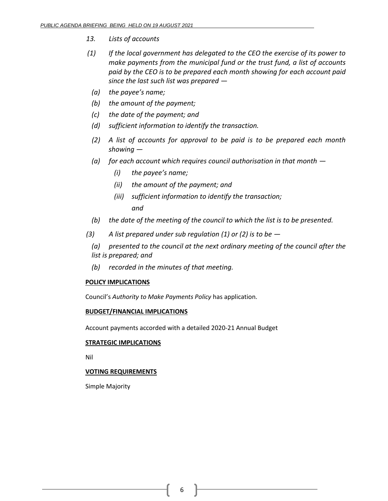- *13. Lists of accounts*
- *(1) If the local government has delegated to the CEO the exercise of its power to make payments from the municipal fund or the trust fund, a list of accounts paid by the CEO is to be prepared each month showing for each account paid since the last such list was prepared —*
	- *(a) the payee's name;*
	- *(b) the amount of the payment;*
	- *(c) the date of the payment; and*
	- *(d) sufficient information to identify the transaction.*
	- *(2) A list of accounts for approval to be paid is to be prepared each month showing —*
	- *(a) for each account which requires council authorisation in that month —*
		- *(i) the payee's name;*
		- *(ii) the amount of the payment; and*
		- *(iii) sufficient information to identify the transaction; and*
- *(b) the date of the meeting of the council to which the list is to be presented.*
- *(3) A list prepared under sub regulation (1) or (2) is to be —*
	- *(a) presented to the council at the next ordinary meeting of the council after the list is prepared; and*
	- *(b) recorded in the minutes of that meeting.*

## **POLICY IMPLICATIONS**

Council's *Authority to Make Payments Policy* has application.

### **BUDGET/FINANCIAL IMPLICATIONS**

Account payments accorded with a detailed 2020-21 Annual Budget

### **STRATEGIC IMPLICATIONS**

Nil

## **VOTING REQUIREMENTS**

Simple Majority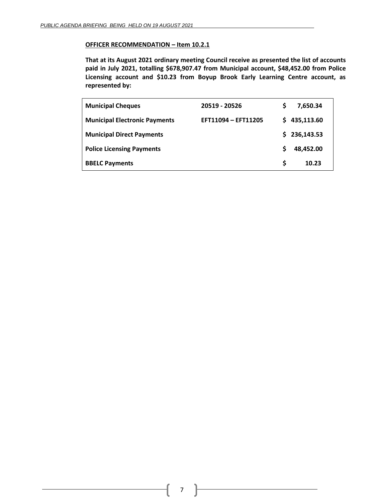### **OFFICER RECOMMENDATION – Item 10.2.1**

**That at its August 2021 ordinary meeting Council receive as presented the list of accounts paid in July 2021, totalling \$678,907.47 from Municipal account, \$48,452.00 from Police Licensing account and \$10.23 from Boyup Brook Early Learning Centre account, as represented by:**

| <b>Municipal Cheques</b>             | 20519 - 20526       | S  | 7,650.34   |
|--------------------------------------|---------------------|----|------------|
| <b>Municipal Electronic Payments</b> | EFT11094 - EFT11205 | S. | 435,113.60 |
| <b>Municipal Direct Payments</b>     |                     | S. | 236,143.53 |
| <b>Police Licensing Payments</b>     |                     |    | 48,452.00  |
| <b>BBELC Payments</b>                |                     | S  | 10.23      |

7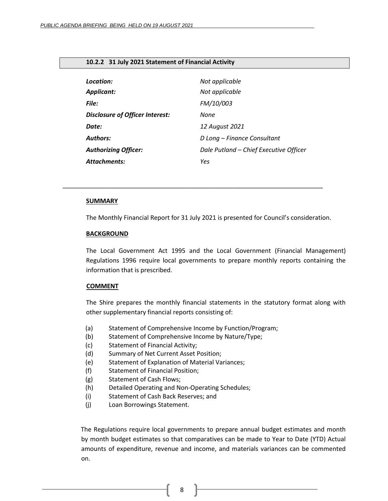#### <span id="page-7-0"></span>**10.2.2 31 July 2021 Statement of Financial Activity**

| Location:                              | Not applicable                         |
|----------------------------------------|----------------------------------------|
| <b>Applicant:</b>                      | Not applicable                         |
| File:                                  | FM/10/003                              |
| <b>Disclosure of Officer Interest:</b> | None                                   |
| Date:                                  | 12 August 2021                         |
| <b>Authors:</b>                        | D Long - Finance Consultant            |
| <b>Authorizing Officer:</b>            | Dale Putland - Chief Executive Officer |
| <b>Attachments:</b>                    | Yes                                    |

*\_\_\_\_\_\_\_\_\_\_\_\_\_\_\_\_\_\_\_\_\_\_\_\_\_\_\_\_\_\_\_\_\_\_\_\_\_\_\_\_\_\_\_\_\_\_\_\_\_\_\_\_\_\_\_\_\_\_\_\_\_\_\_\_\_\_\_\_\_\_\_\_\_\_\_*

#### **SUMMARY**

The Monthly Financial Report for 31 July 2021 is presented for Council's consideration.

#### **BACKGROUND**

The Local Government Act 1995 and the Local Government (Financial Management) Regulations 1996 require local governments to prepare monthly reports containing the information that is prescribed.

### **COMMENT**

The Shire prepares the monthly financial statements in the statutory format along with other supplementary financial reports consisting of:

- (a) Statement of Comprehensive Income by Function/Program;
- (b) Statement of Comprehensive Income by Nature/Type;
- (c) Statement of Financial Activity;
- (d) Summary of Net Current Asset Position;
- (e) Statement of Explanation of Material Variances;
- (f) Statement of Financial Position;
- (g) Statement of Cash Flows;
- (h) Detailed Operating and Non-Operating Schedules;
- (i) Statement of Cash Back Reserves; and
- (j) Loan Borrowings Statement.

The Regulations require local governments to prepare annual budget estimates and month by month budget estimates so that comparatives can be made to Year to Date (YTD) Actual amounts of expenditure, revenue and income, and materials variances can be commented on.

8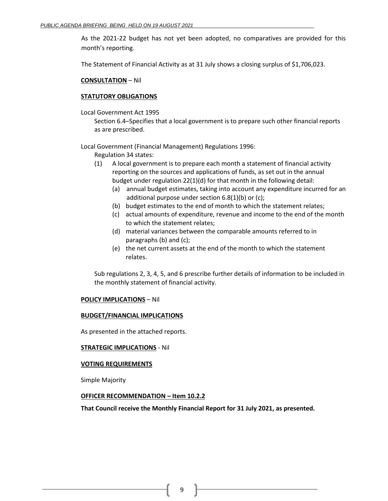As the 2021-22 budget has not yet been adopted, no comparatives are provided for this month's reporting.

The Statement of Financial Activity as at 31 July shows a closing surplus of \$1,706,023.

#### **CONSULTATION** – Nil

#### **STATUTORY OBLIGATIONS**

Local Government Act 1995

Section 6.4–Specifies that a local government is to prepare such other financial reports as are prescribed.

Local Government (Financial Management) Regulations 1996:

- Regulation 34 states:
- (1) A local government is to prepare each month a statement of financial activity reporting on the sources and applications of funds, as set out in the annual budget under regulation 22(1)(d) for that month in the following detail:
	- (a) annual budget estimates, taking into account any expenditure incurred for an additional purpose under section 6.8(1)(b) or (c);
	- (b) budget estimates to the end of month to which the statement relates;
	- (c) actual amounts of expenditure, revenue and income to the end of the month to which the statement relates;
	- (d) material variances between the comparable amounts referred to in paragraphs (b) and (c);
	- (e) the net current assets at the end of the month to which the statement relates.

Sub regulations 2, 3, 4, 5, and 6 prescribe further details of information to be included in the monthly statement of financial activity.

### **POLICY IMPLICATIONS** – Nil

#### **BUDGET/FINANCIAL IMPLICATIONS**

As presented in the attached reports.

### **STRATEGIC IMPLICATIONS** - Nil

#### **VOTING REQUIREMENTS**

Simple Majority

#### **OFFICER RECOMMENDATION – Item 10.2.2**

**That Council receive the Monthly Financial Report for 31 July 2021, as presented.**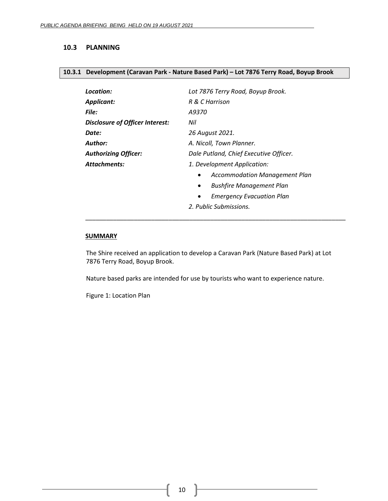### <span id="page-9-0"></span>**10.3 PLANNING**

#### <span id="page-9-1"></span>**10.3.1 Development (Caravan Park - Nature Based Park) – Lot 7876 Terry Road, Boyup Brook**

| Lot 7876 Terry Road, Boyup Brook.             |
|-----------------------------------------------|
| R & C Harrison                                |
| A9370                                         |
| Nil                                           |
| 26 August 2021.                               |
| A. Nicoll, Town Planner.                      |
| Dale Putland, Chief Executive Officer.        |
| 1. Development Application:                   |
| <b>Accommodation Management Plan</b><br>٠     |
| <b>Bushfire Management Plan</b><br>$\bullet$  |
| <b>Emergency Evacuation Plan</b><br>$\bullet$ |
| 2. Public Submissions.                        |
|                                               |

#### **SUMMARY**

The Shire received an application to develop a Caravan Park (Nature Based Park) at Lot 7876 Terry Road, Boyup Brook.

\_\_\_\_\_\_\_\_\_\_\_\_\_\_\_\_\_\_\_\_\_\_\_\_\_\_\_\_\_\_\_\_\_\_\_\_\_\_\_\_\_\_\_\_\_\_\_\_\_\_\_\_\_\_\_\_\_\_\_\_\_\_\_\_\_\_\_\_\_\_\_\_\_\_\_

Nature based parks are intended for use by tourists who want to experience nature.

Figure 1: Location Plan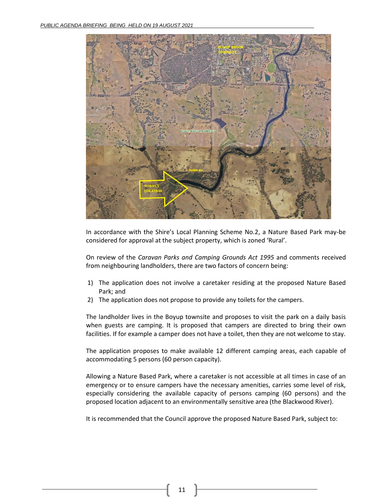

In accordance with the Shire's Local Planning Scheme No.2, a Nature Based Park may-be considered for approval at the subject property, which is zoned 'Rural'.

On review of the *Caravan Parks and Camping Grounds Act 1995* and comments received from neighbouring landholders, there are two factors of concern being:

- 1) The application does not involve a caretaker residing at the proposed Nature Based Park; and
- 2) The application does not propose to provide any toilets for the campers.

The landholder lives in the Boyup townsite and proposes to visit the park on a daily basis when guests are camping. It is proposed that campers are directed to bring their own facilities. If for example a camper does not have a toilet, then they are not welcome to stay.

The application proposes to make available 12 different camping areas, each capable of accommodating 5 persons (60 person capacity).

Allowing a Nature Based Park, where a caretaker is not accessible at all times in case of an emergency or to ensure campers have the necessary amenities, carries some level of risk, especially considering the available capacity of persons camping (60 persons) and the proposed location adjacent to an environmentally sensitive area (the Blackwood River).

It is recommended that the Council approve the proposed Nature Based Park, subject to: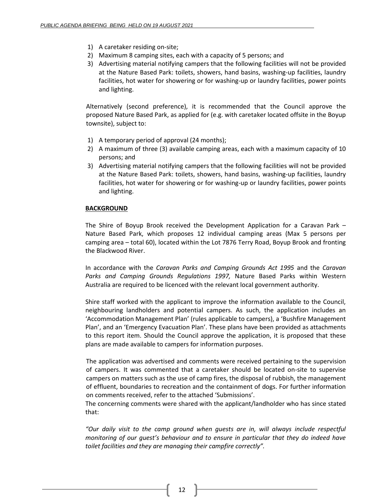- 1) A caretaker residing on-site;
- 2) Maximum 8 camping sites, each with a capacity of 5 persons; and
- 3) Advertising material notifying campers that the following facilities will not be provided at the Nature Based Park: toilets, showers, hand basins, washing-up facilities, laundry facilities, hot water for showering or for washing-up or laundry facilities, power points and lighting.

Alternatively (second preference), it is recommended that the Council approve the proposed Nature Based Park, as applied for (e.g. with caretaker located offsite in the Boyup townsite), subject to:

- 1) A temporary period of approval (24 months);
- 2) A maximum of three (3) available camping areas, each with a maximum capacity of 10 persons; and
- 3) Advertising material notifying campers that the following facilities will not be provided at the Nature Based Park: toilets, showers, hand basins, washing-up facilities, laundry facilities, hot water for showering or for washing-up or laundry facilities, power points and lighting.

## **BACKGROUND**

The Shire of Boyup Brook received the Development Application for a Caravan Park – Nature Based Park, which proposes 12 individual camping areas (Max 5 persons per camping area – total 60), located within the Lot 7876 Terry Road, Boyup Brook and fronting the Blackwood River.

In accordance with the *Caravan Parks and Camping Grounds Act 1995* and the *Caravan Parks and Camping Grounds Regulations 1997,* Nature Based Parks within Western Australia are required to be licenced with the relevant local government authority.

Shire staff worked with the applicant to improve the information available to the Council, neighbouring landholders and potential campers. As such, the application includes an 'Accommodation Management Plan' (rules applicable to campers), a 'Bushfire Management Plan', and an 'Emergency Evacuation Plan'. These plans have been provided as attachments to this report item. Should the Council approve the application, it is proposed that these plans are made available to campers for information purposes.

The application was advertised and comments were received pertaining to the supervision of campers. It was commented that a caretaker should be located on-site to supervise campers on matters such as the use of camp fires, the disposal of rubbish, the management of effluent, boundaries to recreation and the containment of dogs. For further information on comments received, refer to the attached 'Submissions'.

The concerning comments were shared with the applicant/landholder who has since stated that:

*"Our daily visit to the camp ground when guests are in, will always include respectful monitoring of our guest's behaviour and to ensure in particular that they do indeed have toilet facilities and they are managing their campfire correctly".*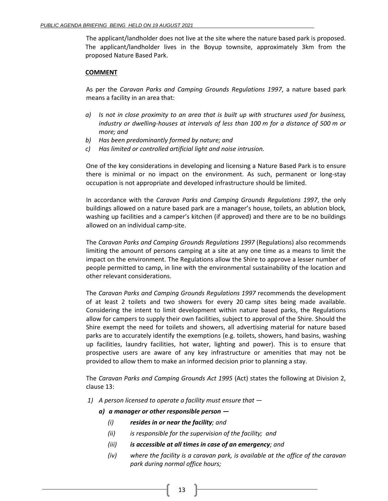The applicant/landholder does not live at the site where the nature based park is proposed. The applicant/landholder lives in the Boyup townsite, approximately 3km from the proposed Nature Based Park.

### **COMMENT**

As per the *Caravan Parks and Camping Grounds Regulations 1997*, a nature based park means a facility in an area that:

- *a) Is not in close proximity to an area that is built up with structures used for business, industry or dwelling-houses at intervals of less than 100 m for a distance of 500 m or more; and*
- *b) Has been predominantly formed by nature; and*
- *c) Has limited or controlled artificial light and noise intrusion.*

One of the key considerations in developing and licensing a Nature Based Park is to ensure there is minimal or no impact on the environment. As such, permanent or long-stay occupation is not appropriate and developed infrastructure should be limited.

In accordance with the *Caravan Parks and Camping Grounds Regulations 1997*, the only buildings allowed on a nature based park are a manager's house, toilets, an ablution block, washing up facilities and a camper's kitchen (if approved) and there are to be no buildings allowed on an individual camp-site.

The *Caravan Parks and Camping Grounds Regulations 1997* (Regulations) also recommends limiting the amount of persons camping at a site at any one time as a means to limit the impact on the environment. The Regulations allow the Shire to approve a lesser number of people permitted to camp, in line with the environmental sustainability of the location and other relevant considerations.

The *Caravan Parks and Camping Grounds Regulations 1997* recommends the development of at least 2 toilets and two showers for every 20 camp sites being made available. Considering the intent to limit development within nature based parks, the Regulations allow for campers to supply their own facilities, subject to approval of the Shire. Should the Shire exempt the need for toilets and showers, all advertising material for nature based parks are to accurately identify the exemptions (e.g. toilets, showers, hand basins, washing up facilities, laundry facilities, hot water, lighting and power). This is to ensure that prospective users are aware of any key infrastructure or amenities that may not be provided to allow them to make an informed decision prior to planning a stay.

The *Caravan Parks and Camping Grounds Act 1995* (Act) states the following at Division 2, clause 13:

- *1) A person licensed to operate a facility must ensure that* 
	- *a) a manager or other responsible person —*
		- *(i) resides in or near the facility; and*
		- *(ii) is responsible for the supervision of the facility; and*
		- *(iii) is accessible at all times in case of an emergency; and*
		- *(iv) where the facility is a caravan park, is available at the office of the caravan park during normal office hours;*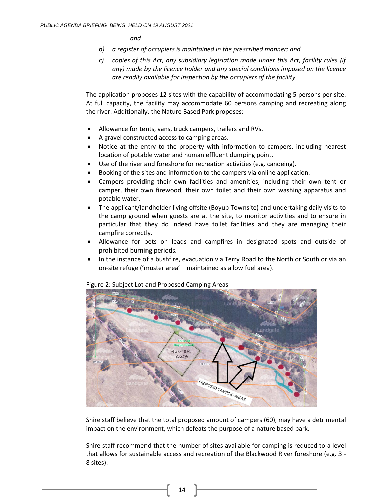*and*

- *b) a register of occupiers is maintained in the prescribed manner; and*
- *c) copies of this Act, any subsidiary legislation made under this Act, facility rules (if any) made by the licence holder and any special conditions imposed on the licence are readily available for inspection by the occupiers of the facility.*

The application proposes 12 sites with the capability of accommodating 5 persons per site. At full capacity, the facility may accommodate 60 persons camping and recreating along the river. Additionally, the Nature Based Park proposes:

- Allowance for tents, vans, truck campers, trailers and RVs.
- A gravel constructed access to camping areas.
- Notice at the entry to the property with information to campers, including nearest location of potable water and human effluent dumping point.
- Use of the river and foreshore for recreation activities (e.g. canoeing).
- Booking of the sites and information to the campers via online application.
- Campers providing their own facilities and amenities, including their own tent or camper, their own firewood, their own toilet and their own washing apparatus and potable water.
- The applicant/landholder living offsite (Boyup Townsite) and undertaking daily visits to the camp ground when guests are at the site, to monitor activities and to ensure in particular that they do indeed have toilet facilities and they are managing their campfire correctly.
- Allowance for pets on leads and campfires in designated spots and outside of prohibited burning periods.
- In the instance of a bushfire, evacuation via Terry Road to the North or South or via an on-site refuge ('muster area' – maintained as a low fuel area).



Figure 2: Subject Lot and Proposed Camping Areas

Shire staff believe that the total proposed amount of campers (60), may have a detrimental impact on the environment, which defeats the purpose of a nature based park.

Shire staff recommend that the number of sites available for camping is reduced to a level that allows for sustainable access and recreation of the Blackwood River foreshore (e.g. 3 - 8 sites).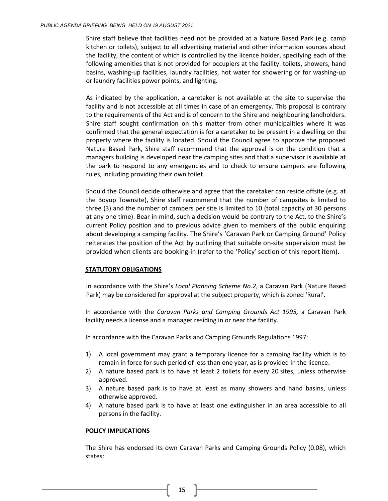Shire staff believe that facilities need not be provided at a Nature Based Park (e.g. camp kitchen or toilets), subject to all advertising material and other information sources about the facility, the content of which is controlled by the licence holder, specifying each of the following amenities that is not provided for occupiers at the facility: toilets, showers, hand basins, washing-up facilities, laundry facilities, hot water for showering or for washing-up or laundry facilities power points, and lighting.

As indicated by the application, a caretaker is not available at the site to supervise the facility and is not accessible at all times in case of an emergency. This proposal is contrary to the requirements of the Act and is of concern to the Shire and neighbouring landholders. Shire staff sought confirmation on this matter from other municipalities where it was confirmed that the general expectation is for a caretaker to be present in a dwelling on the property where the facility is located. Should the Council agree to approve the proposed Nature Based Park, Shire staff recommend that the approval is on the condition that a managers building is developed near the camping sites and that a supervisor is available at the park to respond to any emergencies and to check to ensure campers are following rules, including providing their own toilet.

Should the Council decide otherwise and agree that the caretaker can reside offsite (e.g. at the Boyup Townsite), Shire staff recommend that the number of campsites is limited to three (3) and the number of campers per site is limited to 10 (total capacity of 30 persons at any one time). Bear in-mind, such a decision would be contrary to the Act, to the Shire's current Policy position and to previous advice given to members of the public enquiring about developing a camping facility. The Shire's 'Caravan Park or Camping Ground' Policy reiterates the position of the Act by outlining that suitable on-site supervision must be provided when clients are booking-in (refer to the 'Policy' section of this report item).

### **STATUTORY OBLIGATIONS**

In accordance with the Shire's *Local Planning Scheme No.2*, a Caravan Park (Nature Based Park) may be considered for approval at the subject property, which is zoned 'Rural'.

In accordance with the *Caravan Parks and Camping Grounds Act 1995,* a Caravan Park facility needs a license and a manager residing in or near the facility.

In accordance with the Caravan Parks and Camping Grounds Regulations 1997:

- 1) A local government may grant a temporary licence for a camping facility which is to remain in force for such period of less than one year, as is provided in the licence.
- 2) A nature based park is to have at least 2 toilets for every 20 sites, unless otherwise approved.
- 3) A nature based park is to have at least as many showers and hand basins, unless otherwise approved.
- 4) A nature based park is to have at least one extinguisher in an area accessible to all persons in the facility.

### **POLICY IMPLICATIONS**

The Shire has endorsed its own Caravan Parks and Camping Grounds Policy (0.08), which states:

15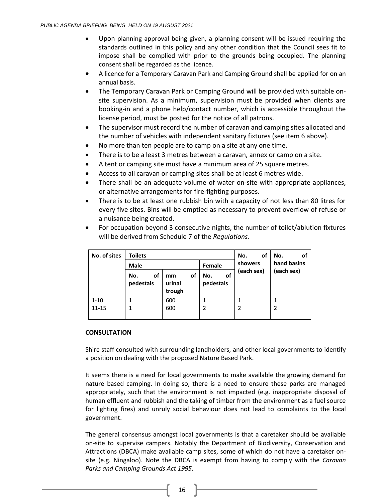- Upon planning approval being given, a planning consent will be issued requiring the standards outlined in this policy and any other condition that the Council sees fit to impose shall be complied with prior to the grounds being occupied. The planning consent shall be regarded as the licence.
- A licence for a Temporary Caravan Park and Camping Ground shall be applied for on an annual basis.
- The Temporary Caravan Park or Camping Ground will be provided with suitable onsite supervision. As a minimum, supervision must be provided when clients are booking-in and a phone help/contact number, which is accessible throughout the license period, must be posted for the notice of all patrons.
- The supervisor must record the number of caravan and camping sites allocated and the number of vehicles with independent sanitary fixtures (see item 6 above).
- No more than ten people are to camp on a site at any one time.
- There is to be a least 3 metres between a caravan, annex or camp on a site.
- A tent or camping site must have a minimum area of 25 square metres.
- Access to all caravan or camping sites shall be at least 6 metres wide.
- There shall be an adequate volume of water on-site with appropriate appliances, or alternative arrangements for fire-fighting purposes.
- There is to be at least one rubbish bin with a capacity of not less than 80 litres for every five sites. Bins will be emptied as necessary to prevent overflow of refuse or a nuisance being created.
- For occupation beyond 3 consecutive nights, the number of toilet/ablution fixtures will be derived from Schedule 7 of the *Regulations.*

| No. of sites | <b>Toilets</b>         |                              |                        | οf<br>No.             | No.<br>οf   |
|--------------|------------------------|------------------------------|------------------------|-----------------------|-------------|
|              | <b>Male</b>            |                              | Female                 | showers<br>(each sex) | hand basins |
|              | No.<br>оf<br>pedestals | οf<br>mm<br>urinal<br>trough | οf<br>No.<br>pedestals |                       | (each sex)  |
| $1 - 10$     |                        | 600                          |                        |                       |             |
| $11 - 15$    |                        | 600                          |                        |                       |             |
|              |                        |                              |                        |                       |             |

### **CONSULTATION**

Shire staff consulted with surrounding landholders, and other local governments to identify a position on dealing with the proposed Nature Based Park.

It seems there is a need for local governments to make available the growing demand for nature based camping. In doing so, there is a need to ensure these parks are managed appropriately, such that the environment is not impacted (e.g. inappropriate disposal of human effluent and rubbish and the taking of timber from the environment as a fuel source for lighting fires) and unruly social behaviour does not lead to complaints to the local government.

The general consensus amongst local governments is that a caretaker should be available on-site to supervise campers. Notably the Department of Biodiversity, Conservation and Attractions (DBCA) make available camp sites, some of which do not have a caretaker onsite (e.g. Ningaloo). Note the DBCA is exempt from having to comply with the *Caravan Parks and Camping Grounds Act 1995.*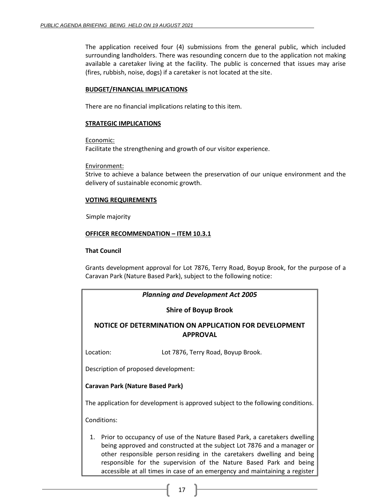The application received four (4) submissions from the general public, which included surrounding landholders. There was resounding concern due to the application not making available a caretaker living at the facility. The public is concerned that issues may arise (fires, rubbish, noise, dogs) if a caretaker is not located at the site.

### **BUDGET/FINANCIAL IMPLICATIONS**

There are no financial implications relating to this item.

### **STRATEGIC IMPLICATIONS**

Economic:

Facilitate the strengthening and growth of our visitor experience.

Environment:

Strive to achieve a balance between the preservation of our unique environment and the delivery of sustainable economic growth.

### **VOTING REQUIREMENTS**

Simple majority

### **OFFICER RECOMMENDATION – ITEM 10.3.1**

### **That Council**

Grants development approval for Lot 7876, Terry Road, Boyup Brook, for the purpose of a Caravan Park (Nature Based Park), subject to the following notice:

| <b>Planning and Development Act 2005</b>                                  |                                                                                                                                                                                                                                                                                                                                                                                       |  |  |  |
|---------------------------------------------------------------------------|---------------------------------------------------------------------------------------------------------------------------------------------------------------------------------------------------------------------------------------------------------------------------------------------------------------------------------------------------------------------------------------|--|--|--|
|                                                                           | <b>Shire of Boyup Brook</b>                                                                                                                                                                                                                                                                                                                                                           |  |  |  |
| NOTICE OF DETERMINATION ON APPLICATION FOR DEVELOPMENT<br><b>APPROVAL</b> |                                                                                                                                                                                                                                                                                                                                                                                       |  |  |  |
| Location:                                                                 | Lot 7876, Terry Road, Boyup Brook.                                                                                                                                                                                                                                                                                                                                                    |  |  |  |
|                                                                           | Description of proposed development:                                                                                                                                                                                                                                                                                                                                                  |  |  |  |
|                                                                           | <b>Caravan Park (Nature Based Park)</b>                                                                                                                                                                                                                                                                                                                                               |  |  |  |
|                                                                           | The application for development is approved subject to the following conditions.                                                                                                                                                                                                                                                                                                      |  |  |  |
| Conditions:                                                               |                                                                                                                                                                                                                                                                                                                                                                                       |  |  |  |
|                                                                           | 1. Prior to occupancy of use of the Nature Based Park, a caretakers dwelling<br>being approved and constructed at the subject Lot 7876 and a manager or<br>other responsible person residing in the caretakers dwelling and being<br>responsible for the supervision of the Nature Based Park and being<br>accessible at all times in case of an emergency and maintaining a register |  |  |  |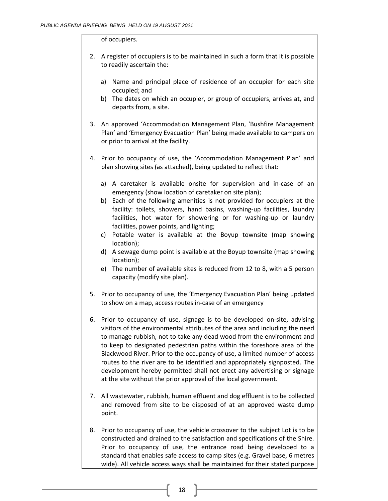#### of occupiers.

- 2. A register of occupiers is to be maintained in such a form that it is possible to readily ascertain the:
	- a) Name and principal place of residence of an occupier for each site occupied; and
	- b) The dates on which an occupier, or group of occupiers, arrives at, and departs from, a site.
- 3. An approved 'Accommodation Management Plan, 'Bushfire Management Plan' and 'Emergency Evacuation Plan' being made available to campers on or prior to arrival at the facility.
- 4. Prior to occupancy of use, the 'Accommodation Management Plan' and plan showing sites (as attached), being updated to reflect that:
	- a) A caretaker is available onsite for supervision and in-case of an emergency (show location of caretaker on site plan);
	- b) Each of the following amenities is not provided for occupiers at the facility: toilets, showers, hand basins, washing-up facilities, laundry facilities, hot water for showering or for washing-up or laundry facilities, power points, and lighting;
	- c) Potable water is available at the Boyup townsite (map showing location);
	- d) A sewage dump point is available at the Boyup townsite (map showing location);
	- e) The number of available sites is reduced from 12 to 8, with a 5 person capacity (modify site plan).
- 5. Prior to occupancy of use, the 'Emergency Evacuation Plan' being updated to show on a map, access routes in-case of an emergency
- 6. Prior to occupancy of use, signage is to be developed on-site, advising visitors of the environmental attributes of the area and including the need to manage rubbish, not to take any dead wood from the environment and to keep to designated pedestrian paths within the foreshore area of the Blackwood River. Prior to the occupancy of use, a limited number of access routes to the river are to be identified and appropriately signposted. The development hereby permitted shall not erect any advertising or signage at the site without the prior approval of the local government.
- 7. All wastewater, rubbish, human effluent and dog effluent is to be collected and removed from site to be disposed of at an approved waste dump point.
- 8. Prior to occupancy of use, the vehicle crossover to the subject Lot is to be constructed and drained to the satisfaction and specifications of the Shire. Prior to occupancy of use, the entrance road being developed to a standard that enables safe access to camp sites (e.g. Gravel base, 6 metres wide). All vehicle access ways shall be maintained for their stated purpose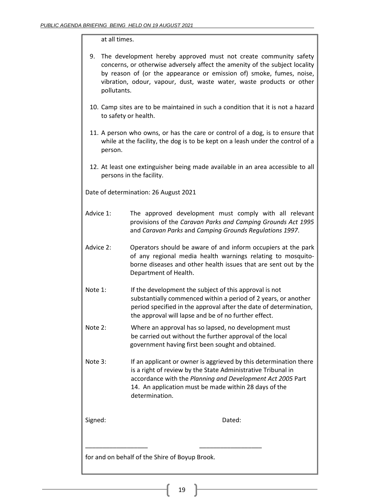### at all times.

| 9. The development hereby approved must not create community safety         |
|-----------------------------------------------------------------------------|
| concerns, or otherwise adversely affect the amenity of the subject locality |
| by reason of (or the appearance or emission of) smoke, fumes, noise,        |
| vibration, odour, vapour, dust, waste water, waste products or other        |
| pollutants.                                                                 |

- 10. Camp sites are to be maintained in such a condition that it is not a hazard to safety or health.
- 11. A person who owns, or has the care or control of a dog, is to ensure that while at the facility, the dog is to be kept on a leash under the control of a person.
- 12. At least one extinguisher being made available in an area accessible to all persons in the facility.

Date of determination: 26 August 2021

- Advice 1: The approved development must comply with all relevant provisions of the *Caravan Parks and Camping Grounds Act 1995* and *Caravan Parks* and *Camping Grounds Regulations 1997*.
- Advice 2: Operators should be aware of and inform occupiers at the park of any regional media health warnings relating to mosquitoborne diseases and other health issues that are sent out by the Department of Health.
- Note 1: If the development the subject of this approval is not substantially commenced within a period of 2 years, or another period specified in the approval after the date of determination, the approval will lapse and be of no further effect.
- Note 2: Where an approval has so lapsed, no development must be carried out without the further approval of the local government having first been sought and obtained.
- Note 3: If an applicant or owner is aggrieved by this determination there is a right of review by the State Administrative Tribunal in accordance with the *Planning and Development Act 2005* Part 14. An application must be made within 28 days of the determination.

Signed: **Dated:** Dated:

for and on behalf of the Shire of Boyup Brook.

\_\_\_\_\_\_\_\_\_\_\_\_\_\_\_\_\_\_ \_\_\_\_\_\_\_\_\_\_\_\_\_\_\_\_\_\_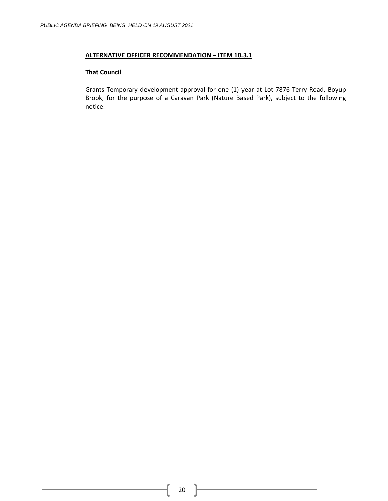### **ALTERNATIVE OFFICER RECOMMENDATION – ITEM 10.3.1**

#### **That Council**

Grants Temporary development approval for one (1) year at Lot 7876 Terry Road, Boyup Brook, for the purpose of a Caravan Park (Nature Based Park), subject to the following notice: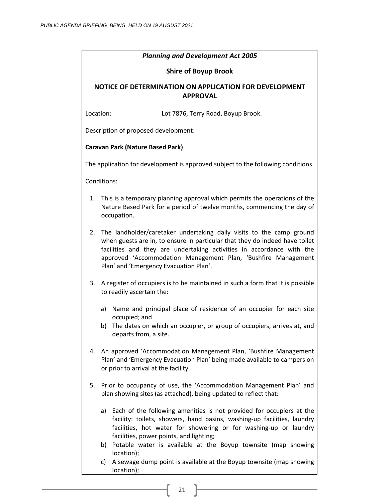| <b>Planning and Development Act 2005</b>                                                                                                                                                                                                                                                                                                      |
|-----------------------------------------------------------------------------------------------------------------------------------------------------------------------------------------------------------------------------------------------------------------------------------------------------------------------------------------------|
| <b>Shire of Boyup Brook</b>                                                                                                                                                                                                                                                                                                                   |
| NOTICE OF DETERMINATION ON APPLICATION FOR DEVELOPMENT<br><b>APPROVAL</b>                                                                                                                                                                                                                                                                     |
| Location:<br>Lot 7876, Terry Road, Boyup Brook.                                                                                                                                                                                                                                                                                               |
| Description of proposed development:                                                                                                                                                                                                                                                                                                          |
| <b>Caravan Park (Nature Based Park)</b>                                                                                                                                                                                                                                                                                                       |
| The application for development is approved subject to the following conditions.                                                                                                                                                                                                                                                              |
| Conditions:                                                                                                                                                                                                                                                                                                                                   |
| This is a temporary planning approval which permits the operations of the<br>1.<br>Nature Based Park for a period of twelve months, commencing the day of<br>occupation.                                                                                                                                                                      |
| The landholder/caretaker undertaking daily visits to the camp ground<br>2.<br>when guests are in, to ensure in particular that they do indeed have toilet<br>facilities and they are undertaking activities in accordance with the<br>approved 'Accommodation Management Plan, 'Bushfire Management<br>Plan' and 'Emergency Evacuation Plan'. |
| A register of occupiers is to be maintained in such a form that it is possible<br>3.<br>to readily ascertain the:                                                                                                                                                                                                                             |
| Name and principal place of residence of an occupier for each site<br>a)<br>occupied; and<br>b) The dates on which an occupier, or group of occupiers, arrives at, and<br>departs from, a site.                                                                                                                                               |
| An approved 'Accommodation Management Plan, 'Bushfire Management<br>4.<br>Plan' and 'Emergency Evacuation Plan' being made available to campers on<br>or prior to arrival at the facility.                                                                                                                                                    |
| Prior to occupancy of use, the 'Accommodation Management Plan' and<br>5.<br>plan showing sites (as attached), being updated to reflect that:                                                                                                                                                                                                  |
| a) Each of the following amenities is not provided for occupiers at the<br>facility: toilets, showers, hand basins, washing-up facilities, laundry<br>facilities, hot water for showering or for washing-up or laundry<br>facilities, power points, and lighting;<br>b) Potable water is available at the Boyup townsite (map showing         |
| location);<br>c) A sewage dump point is available at the Boyup townsite (map showing                                                                                                                                                                                                                                                          |

location);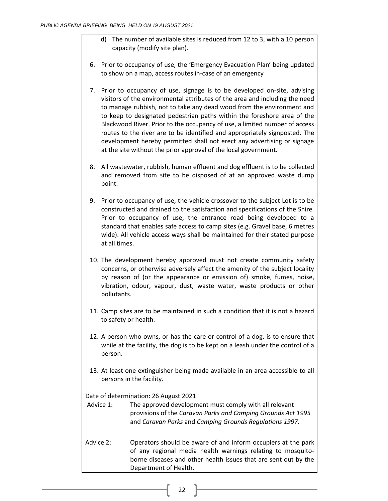- d) The number of available sites is reduced from 12 to 3, with a 10 person capacity (modify site plan).
- 6. Prior to occupancy of use, the 'Emergency Evacuation Plan' being updated to show on a map, access routes in-case of an emergency
- 7. Prior to occupancy of use, signage is to be developed on-site, advising visitors of the environmental attributes of the area and including the need to manage rubbish, not to take any dead wood from the environment and to keep to designated pedestrian paths within the foreshore area of the Blackwood River. Prior to the occupancy of use, a limited number of access routes to the river are to be identified and appropriately signposted. The development hereby permitted shall not erect any advertising or signage at the site without the prior approval of the local government.
- 8. All wastewater, rubbish, human effluent and dog effluent is to be collected and removed from site to be disposed of at an approved waste dump point.
- 9. Prior to occupancy of use, the vehicle crossover to the subject Lot is to be constructed and drained to the satisfaction and specifications of the Shire. Prior to occupancy of use, the entrance road being developed to a standard that enables safe access to camp sites (e.g. Gravel base, 6 metres wide). All vehicle access ways shall be maintained for their stated purpose at all times.
- 10. The development hereby approved must not create community safety concerns, or otherwise adversely affect the amenity of the subject locality by reason of (or the appearance or emission of) smoke, fumes, noise, vibration, odour, vapour, dust, waste water, waste products or other pollutants.
- 11. Camp sites are to be maintained in such a condition that it is not a hazard to safety or health.
- 12. A person who owns, or has the care or control of a dog, is to ensure that while at the facility, the dog is to be kept on a leash under the control of a person.
- 13. At least one extinguisher being made available in an area accessible to all persons in the facility.

Date of determination: 26 August 2021

- Advice 1: The approved development must comply with all relevant provisions of the *Caravan Parks and Camping Grounds Act 1995* and *Caravan Parks* and *Camping Grounds Regulations 1997*.
- Advice 2: Operators should be aware of and inform occupiers at the park of any regional media health warnings relating to mosquitoborne diseases and other health issues that are sent out by the Department of Health.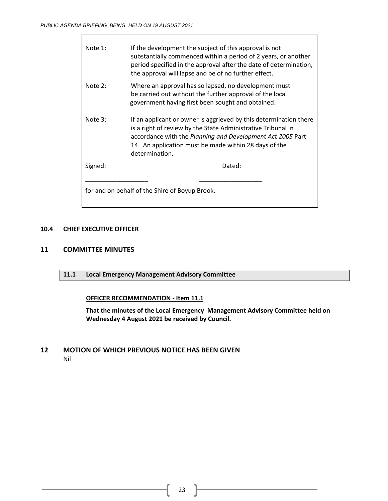$\overline{\phantom{a}}$ 

| Note 1: | If the development the subject of this approval is not<br>substantially commenced within a period of 2 years, or another<br>period specified in the approval after the date of determination,<br>the approval will lapse and be of no further effect.                      |
|---------|----------------------------------------------------------------------------------------------------------------------------------------------------------------------------------------------------------------------------------------------------------------------------|
| Note 2: | Where an approval has so lapsed, no development must<br>be carried out without the further approval of the local<br>government having first been sought and obtained.                                                                                                      |
| Note 3: | If an applicant or owner is aggrieved by this determination there<br>is a right of review by the State Administrative Tribunal in<br>accordance with the Planning and Development Act 2005 Part<br>14. An application must be made within 28 days of the<br>determination. |
| Signed: | Dated:                                                                                                                                                                                                                                                                     |
|         | for and on behalf of the Shire of Boyup Brook.                                                                                                                                                                                                                             |

### <span id="page-22-0"></span>**10.4 CHIEF EXECUTIVE OFFICER**

### <span id="page-22-2"></span><span id="page-22-1"></span>**11 COMMITTEE MINUTES**

**11.1 Local Emergency Management Advisory Committee**

### **OFFICER RECOMMENDATION - Item 11.1**

**That the minutes of the Local Emergency Management Advisory Committee held on Wednesday 4 August 2021 be received by Council.**

## <span id="page-22-3"></span>**12 MOTION OF WHICH PREVIOUS NOTICE HAS BEEN GIVEN** Nil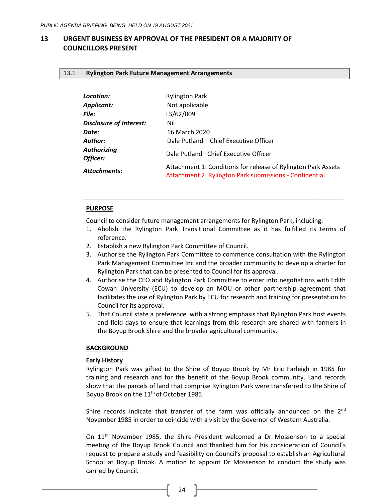# <span id="page-23-1"></span><span id="page-23-0"></span>**13 URGENT BUSINESS BY APPROVAL OF THE PRESIDENT OR A MAJORITY OF COUNCILLORS PRESENT**

### <span id="page-23-2"></span>13.1 **Rylington Park Future Management Arrangements**

| Location:                      | <b>Rylington Park</b>                                                                                                    |
|--------------------------------|--------------------------------------------------------------------------------------------------------------------------|
| Applicant:                     | Not applicable                                                                                                           |
| <b>File:</b>                   | LS/62/009                                                                                                                |
| Disclosure of Interest:        | Nil                                                                                                                      |
| Date:                          | 16 March 2020                                                                                                            |
| Author:                        | Dale Putland - Chief Executive Officer                                                                                   |
| <b>Authorizing</b><br>Officer: | Dale Putland-Chief Executive Officer                                                                                     |
| Attachments:                   | Attachment 1: Conditions for release of Rylington Park Assets<br>Attachment 2: Rylington Park submissions - Confidential |

### **PURPOSE**

Council to consider future management arrangements for Rylington Park, including:

1. Abolish the Rylington Park Transitional Committee as it has fulfilled its terms of reference.

\_\_\_\_\_\_\_\_\_\_\_\_\_\_\_\_\_\_\_\_\_\_\_\_\_\_\_\_\_\_\_\_\_\_\_\_\_\_\_\_\_\_\_\_\_\_\_\_\_\_\_\_\_\_\_\_\_\_\_\_\_\_\_\_\_\_\_\_\_\_\_\_\_\_\_

- 2. Establish a new Rylington Park Committee of Council.
- 3. Authorise the Rylington Park Committee to commence consultation with the Rylington Park Management Committee Inc and the broader community to develop a charter for Rylington Park that can be presented to Council for its approval.
- 4. Authorise the CEO and Rylington Park Committee to enter into negotiations with Edith Cowan University (ECU) to develop an MOU or other partnership agreement that facilitates the use of Rylington Park by ECU for research and training for presentation to Council for its approval.
- 5. That Council state a preference with a strong emphasis that Rylington Park host events and field days to ensure that learnings from this research are shared with farmers in the Boyup Brook Shire and the broader agricultural community.

### **BACKGROUND**

### **Early History**

Rylington Park was gifted to the Shire of Boyup Brook by Mr Eric Farleigh in 1985 for training and research and for the benefit of the Boyup Brook community. Land records show that the parcels of land that comprise Rylington Park were transferred to the Shire of Boyup Brook on the 11<sup>th</sup> of October 1985.

Shire records indicate that transfer of the farm was officially announced on the  $2^{nd}$ November 1985 in order to coincide with a visit by the Governor of Western Australia.

On 11th November 1985, the Shire President welcomed a Dr Mossenson to a special meeting of the Boyup Brook Council and thanked him for his consideration of Council's request to prepare a study and feasibility on Council's proposal to establish an Agricultural School at Boyup Brook. A motion to appoint Dr Mossenson to conduct the study was carried by Council.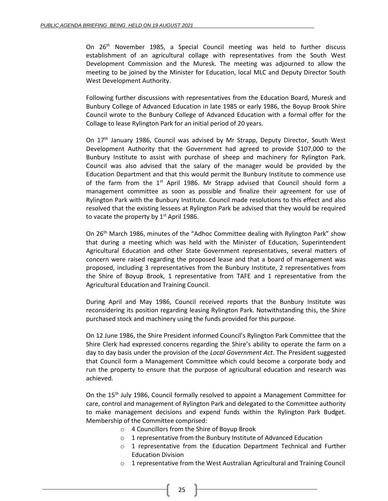On 26<sup>th</sup> November 1985, a Special Council meeting was held to further discuss establishment of an agricultural collage with representatives from the South West Development Commission and the Muresk. The meeting was adjourned to allow the meeting to be joined by the Minister for Education, local MLC and Deputy Director South West Development Authority.

Following further discussions with representatives from the Education Board, Muresk and Bunbury College of Advanced Education in late 1985 or early 1986, the Boyup Brook Shire Council wrote to the Bunbury College of Advanced Education with a formal offer for the Collage to lease Rylington Park for an initial period of 20 years.

On 17<sup>th</sup> January 1986, Council was advised by Mr Strapp, Deputy Director, South West Development Authority that the Government had agreed to provide \$107,000 to the Bunbury Institute to assist with purchase of sheep and machinery for Rylington Park. Council was also advised that the salary of the manager would be provided by the Education Department and that this would permit the Bunbury Institute to commence use of the farm from the  $1<sup>st</sup>$  April 1986. Mr Strapp advised that Council should form a management committee as soon as possible and finalize their agreement for use of Rylington Park with the Bunbury Institute. Council made resolutions to this effect and also resolved that the existing lessees at Rylington Park be advised that they would be required to vacate the property by  $1<sup>st</sup>$  April 1986.

On 26<sup>th</sup> March 1986, minutes of the "Adhoc Committee dealing with Rylington Park" show that during a meeting which was held with the Minister of Education, Superintendent Agricultural Education and other State Government representatives, several matters of concern were raised regarding the proposed lease and that a board of management was proposed, including 3 representatives from the Bunbury Institute, 2 representatives from the Shire of Boyup Brook, 1 representative from TAFE and 1 representative from the Agricultural Education and Training Council.

During April and May 1986, Council received reports that the Bunbury Institute was reconsidering its position regarding leasing Rylington Park. Notwithstanding this, the Shire purchased stock and machinery using the funds provided for this purpose.

On 12 June 1986, the Shire President informed Council's Rylington Park Committee that the Shire Clerk had expressed concerns regarding the Shire's ability to operate the farm on a day to day basis under the provision of the *Local Government Act*. The President suggested that Council form a Management Committee which could become a corporate body and run the property to ensure that the purpose of agricultural education and research was achieved.

On the 15<sup>th</sup> July 1986, Council formally resolved to appoint a Management Committee for care, control and management of Rylington Park and delegated to the Committee authority to make management decisions and expend funds within the Rylington Park Budget. Membership of the Committee comprised:

- o 4 Councillors from the Shire of Boyup Brook
- o 1 representative from the Bunbury Institute of Advanced Education
- $\circ$  1 representative from the Education Department Technical and Further Education Division
- $\circ$  1 representative from the West Australian Agricultural and Training Council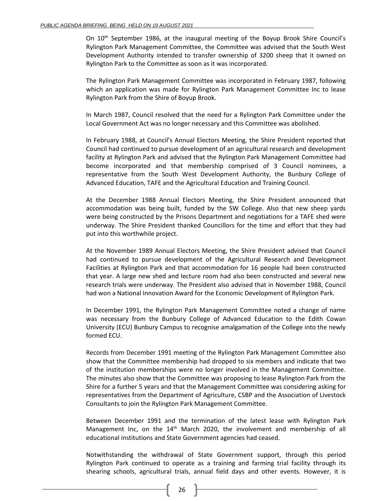On 10<sup>th</sup> September 1986, at the inaugural meeting of the Boyup Brook Shire Council's Rylington Park Management Committee, the Committee was advised that the South West Development Authority intended to transfer ownership of 3200 sheep that it owned on Rylington Park to the Committee as soon as it was incorporated.

The Rylington Park Management Committee was incorporated in February 1987, following which an application was made for Rylington Park Management Committee Inc to lease Rylington Park from the Shire of Boyup Brook.

In March 1987, Council resolved that the need for a Rylington Park Committee under the Local Government Act was no longer necessary and this Committee was abolished.

In February 1988, at Council's Annual Electors Meeting, the Shire President reported that Council had continued to pursue development of an agricultural research and development facility at Rylington Park and advised that the Rylington Park Management Committee had become incorporated and that membership comprised of 3 Council nominees, a representative from the South West Development Authority, the Bunbury College of Advanced Education, TAFE and the Agricultural Education and Training Council.

At the December 1988 Annual Electors Meeting, the Shire President announced that accommodation was being built, funded by the SW College. Also that new sheep yards were being constructed by the Prisons Department and negotiations for a TAFE shed were underway. The Shire President thanked Councillors for the time and effort that they had put into this worthwhile project.

At the November 1989 Annual Electors Meeting, the Shire President advised that Council had continued to pursue development of the Agricultural Research and Development Facilities at Rylington Park and that accommodation for 16 people had been constructed that year. A large new shed and lecture room had also been constructed and several new research trials were underway. The President also advised that in November 1988, Council had won a National Innovation Award for the Economic Development of Rylington Park.

In December 1991, the Rylington Park Management Committee noted a change of name was necessary from the Bunbury College of Advanced Education to the Edith Cowan University (ECU) Bunbury Campus to recognise amalgamation of the College into the newly formed ECU.

Records from December 1991 meeting of the Rylington Park Management Committee also show that the Committee membership had dropped to six members and indicate that two of the institution memberships were no longer involved in the Management Committee. The minutes also show that the Committee was proposing to lease Rylington Park from the Shire for a further 5 years and that the Management Committee was considering asking for representatives from the Department of Agriculture, CSBP and the Association of Livestock Consultants to join the Rylington Park Management Committee.

Between December 1991 and the termination of the latest lease with Rylington Park Management Inc, on the  $14<sup>th</sup>$  March 2020, the involvement and membership of all educational institutions and State Government agencies had ceased.

Notwithstanding the withdrawal of State Government support, through this period Rylington Park continued to operate as a training and farming trial facility through its shearing schools, agricultural trials, annual field days and other events. However, it is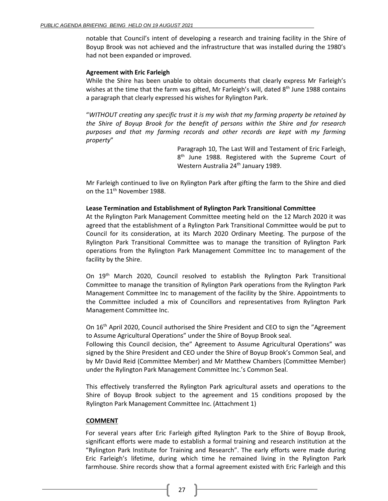notable that Council's intent of developing a research and training facility in the Shire of Boyup Brook was not achieved and the infrastructure that was installed during the 1980's had not been expanded or improved.

#### **Agreement with Eric Farleigh**

While the Shire has been unable to obtain documents that clearly express Mr Farleigh's wishes at the time that the farm was gifted, Mr Farleigh's will, dated 8<sup>th</sup> June 1988 contains a paragraph that clearly expressed his wishes for Rylington Park.

"*WITHOUT creating any specific trust it is my wish that my farming property be retained by the Shire of Boyup Brook for the benefit of persons within the Shire and for research purposes and that my farming records and other records are kept with my farming property*"

> Paragraph 10, The Last Will and Testament of Eric Farleigh, 8<sup>th</sup> June 1988. Registered with the Supreme Court of Western Australia 24<sup>th</sup> January 1989.

Mr Farleigh continued to live on Rylington Park after gifting the farm to the Shire and died on the 11<sup>th</sup> November 1988.

#### **Lease Termination and Establishment of Rylington Park Transitional Committee**

At the Rylington Park Management Committee meeting held on the 12 March 2020 it was agreed that the establishment of a Rylington Park Transitional Committee would be put to Council for its consideration, at its March 2020 Ordinary Meeting. The purpose of the Rylington Park Transitional Committee was to manage the transition of Rylington Park operations from the Rylington Park Management Committee Inc to management of the facility by the Shire.

On 19th March 2020, Council resolved to establish the Rylington Park Transitional Committee to manage the transition of Rylington Park operations from the Rylington Park Management Committee Inc to management of the facility by the Shire. Appointments to the Committee included a mix of Councillors and representatives from Rylington Park Management Committee Inc.

On 16th April 2020, Council authorised the Shire President and CEO to sign the "Agreement to Assume Agricultural Operations" under the Shire of Boyup Brook seal.

Following this Council decision, the" Agreement to Assume Agricultural Operations" was signed by the Shire President and CEO under the Shire of Boyup Brook's Common Seal, and by Mr David Reid (Committee Member) and Mr Matthew Chambers (Committee Member) under the Rylington Park Management Committee Inc.'s Common Seal.

This effectively transferred the Rylington Park agricultural assets and operations to the Shire of Boyup Brook subject to the agreement and 15 conditions proposed by the Rylington Park Management Committee Inc. (Attachment 1)

### **COMMENT**

For several years after Eric Farleigh gifted Rylington Park to the Shire of Boyup Brook, significant efforts were made to establish a formal training and research institution at the "Rylington Park Institute for Training and Research". The early efforts were made during Eric Farleigh's lifetime, during which time he remained living in the Rylington Park farmhouse. Shire records show that a formal agreement existed with Eric Farleigh and this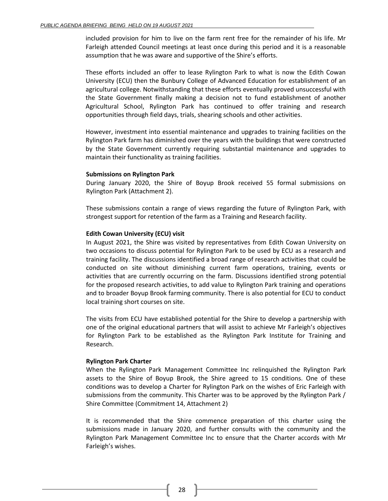included provision for him to live on the farm rent free for the remainder of his life. Mr Farleigh attended Council meetings at least once during this period and it is a reasonable assumption that he was aware and supportive of the Shire's efforts.

These efforts included an offer to lease Rylington Park to what is now the Edith Cowan University (ECU) then the Bunbury College of Advanced Education for establishment of an agricultural college. Notwithstanding that these efforts eventually proved unsuccessful with the State Government finally making a decision not to fund establishment of another Agricultural School, Rylington Park has continued to offer training and research opportunities through field days, trials, shearing schools and other activities.

However, investment into essential maintenance and upgrades to training facilities on the Rylington Park farm has diminished over the years with the buildings that were constructed by the State Government currently requiring substantial maintenance and upgrades to maintain their functionality as training facilities.

#### **Submissions on Rylington Park**

During January 2020, the Shire of Boyup Brook received 55 formal submissions on Rylington Park (Attachment 2).

These submissions contain a range of views regarding the future of Rylington Park, with strongest support for retention of the farm as a Training and Research facility.

#### **Edith Cowan University (ECU) visit**

In August 2021, the Shire was visited by representatives from Edith Cowan University on two occasions to discuss potential for Rylington Park to be used by ECU as a research and training facility. The discussions identified a broad range of research activities that could be conducted on site without diminishing current farm operations, training, events or activities that are currently occurring on the farm. Discussions identified strong potential for the proposed research activities, to add value to Rylington Park training and operations and to broader Boyup Brook farming community. There is also potential for ECU to conduct local training short courses on site.

The visits from ECU have established potential for the Shire to develop a partnership with one of the original educational partners that will assist to achieve Mr Farleigh's objectives for Rylington Park to be established as the Rylington Park Institute for Training and Research.

#### **Rylington Park Charter**

When the Rylington Park Management Committee Inc relinquished the Rylington Park assets to the Shire of Boyup Brook, the Shire agreed to 15 conditions. One of these conditions was to develop a Charter for Rylington Park on the wishes of Eric Farleigh with submissions from the community. This Charter was to be approved by the Rylington Park / Shire Committee (Commitment 14, Attachment 2)

It is recommended that the Shire commence preparation of this charter using the submissions made in January 2020, and further consults with the community and the Rylington Park Management Committee Inc to ensure that the Charter accords with Mr Farleigh's wishes.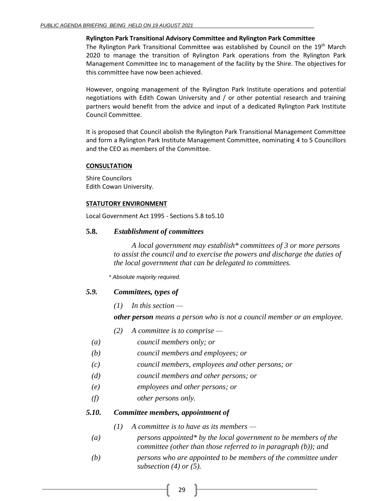### **Rylington Park Transitional Advisory Committee and Rylington Park Committee**

The Rylington Park Transitional Committee was established by Council on the 19th March 2020 to manage the transition of Rylington Park operations from the Rylington Park Management Committee Inc to management of the facility by the Shire. The objectives for this committee have now been achieved.

However, ongoing management of the Rylington Park Institute operations and potential negotiations with Edith Cowan University and / or other potential research and training partners would benefit from the advice and input of a dedicated Rylington Park Institute Council Committee.

It is proposed that Council abolish the Rylington Park Transitional Management Committee and form a Rylington Park Institute Management Committee, nominating 4 to 5 Councillors and the CEO as members of the Committee.

### **CONSULTATION**

Shire Councilors Edith Cowan University.

#### **STATUTORY ENVIRONMENT**

Local Government Act 1995 - Sections 5.8 to5.10

### **5.8.** *Establishment of committees*

*A local government may establish\* committees of 3 or more persons to assist the council and to exercise the powers and discharge the duties of the local government that can be delegated to committees.*

*\* Absolute majority required.*

### *5.9. Committees, types of*

*(1) In this section —*

*other person means a person who is not a council member or an employee.*

- *(2) A committee is to comprise —*
- *(a) council members only; or*
- *(b) council members and employees; or*
- *(c) council members, employees and other persons; or*
- *(d) council members and other persons; or*
- *(e) employees and other persons; or*
- *(f) other persons only.*

## *5.10. Committee members, appointment of*

- *(1) A committee is to have as its members —*
- *(a) persons appointed\* by the local government to be members of the committee (other than those referred to in paragraph (b)); and*
- *(b) persons who are appointed to be members of the committee under subsection (4) or (5).*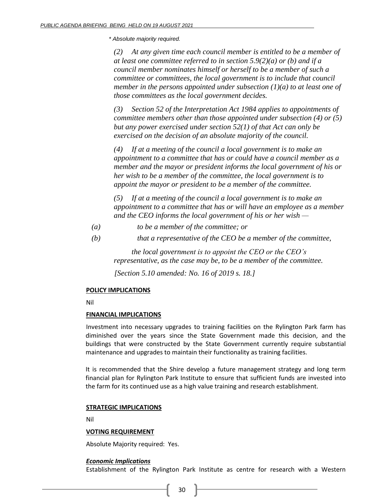*\* Absolute majority required.*

*(2) At any given time each council member is entitled to be a member of at least one committee referred to in section 5.9(2)(a) or (b) and if a council member nominates himself or herself to be a member of such a committee or committees, the local government is to include that council member in the persons appointed under subsection (1)(a) to at least one of those committees as the local government decides.*

*(3) Section 52 of the Interpretation Act 1984 applies to appointments of committee members other than those appointed under subsection (4) or (5) but any power exercised under section 52(1) of that Act can only be exercised on the decision of an absolute majority of the council.*

*(4) If at a meeting of the council a local government is to make an appointment to a committee that has or could have a council member as a member and the mayor or president informs the local government of his or her wish to be a member of the committee, the local government is to appoint the mayor or president to be a member of the committee.* 

*(5) If at a meeting of the council a local government is to make an appointment to a committee that has or will have an employee as a member and the CEO informs the local government of his or her wish —*

*(a) to be a member of the committee; or*

*(b) that a representative of the CEO be a member of the committee,*

*the local government is to appoint the CEO or the CEO's representative, as the case may be, to be a member of the committee.*

*[Section 5.10 amended: No. 16 of 2019 s. 18.]*

### **POLICY IMPLICATIONS**

Nil

### **FINANCIAL IMPLICATIONS**

Investment into necessary upgrades to training facilities on the Rylington Park farm has diminished over the years since the State Government made this decision, and the buildings that were constructed by the State Government currently require substantial maintenance and upgrades to maintain their functionality as training facilities.

It is recommended that the Shire develop a future management strategy and long term financial plan for Rylington Park Institute to ensure that sufficient funds are invested into the farm for its continued use as a high value training and research establishment.

### **STRATEGIC IMPLICATIONS**

Nil

### **VOTING REQUIREMENT**

Absolute Majority required: Yes.

### *Economic Implications*

Establishment of the Rylington Park Institute as centre for research with a Western